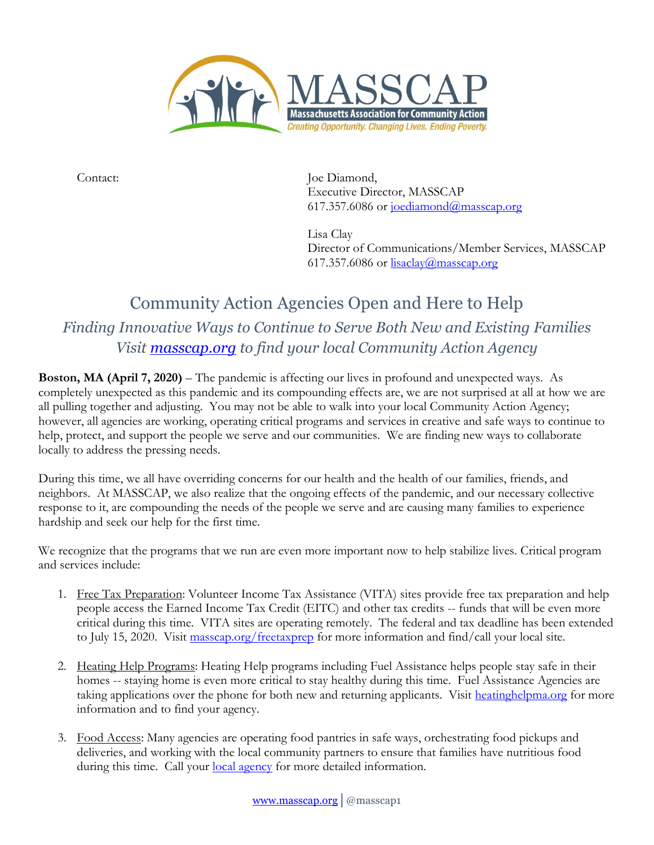

Contact: Joe Diamond, Executive Director, MASSCAP 617.357.6086 or [joediamond@masscap.org](mailto:joediamond@masscap.org)

> Lisa Clay Director of Communications/Member Services, MASSCAP 617.357.6086 or  $lissclav@masscap.org$

## Community Action Agencies Open and Here to Help *Finding Innovative Ways to Continue to Serve Both New and Existing Families Visit [masscap.org](http://www.masscap.org/agencies) to find your local Community Action Agency*

**Boston, MA (April 7, 2020)** – The pandemic is affecting our lives in profound and unexpected ways. As completely unexpected as this pandemic and its compounding effects are, we are not surprised at all at how we are all pulling together and adjusting. You may not be able to walk into your local Community Action Agency; however, all agencies are working, operating critical programs and services in creative and safe ways to continue to help, protect, and support the people we serve and our communities. We are finding new ways to collaborate locally to address the pressing needs.

During this time, we all have overriding concerns for our health and the health of our families, friends, and neighbors. At MASSCAP, we also realize that the ongoing effects of the pandemic, and our necessary collective response to it, are compounding the needs of the people we serve and are causing many families to experience hardship and seek our help for the first time.

We recognize that the programs that we run are even more important now to help stabilize lives. Critical program and services include:

- 1. Free Tax Preparation: Volunteer Income Tax Assistance (VITA) sites provide free tax preparation and help people access the Earned Income Tax Credit (EITC) and other tax credits -- funds that will be even more critical during this time. VITA sites are operating remotely. The federal and tax deadline has been extended to July 15, 2020. Visit [masscap.org/freetaxprep](https://www.masscap.org/freetaxprep/) for more information and find/call your local site.
- 2. Heating Help Programs: Heating Help programs including Fuel Assistance helps people stay safe in their homes -- staying home is even more critical to stay healthy during this time. Fuel Assistance Agencies are taking applications over the phone for both new and returning applicants. Visit [heatinghelpma.org](http://www.heatinghelpma.org/) for more information and to find your agency.
- 3. Food Access: Many agencies are operating food pantries in safe ways, orchestrating food pickups and deliveries, and working with the local community partners to ensure that families have nutritious food during this time. Call your <u>local agency</u> for more detailed information.